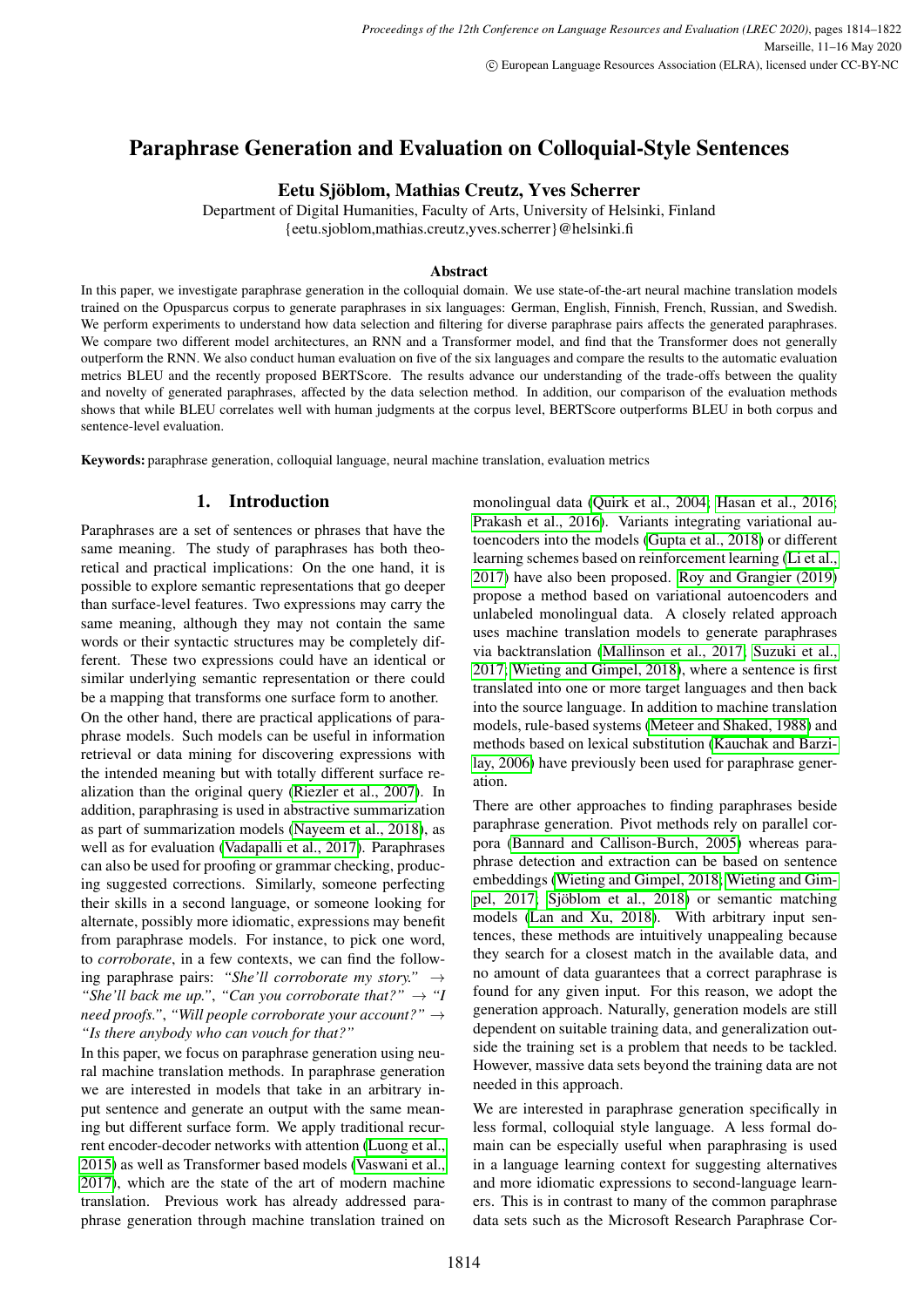# Paraphrase Generation and Evaluation on Colloquial-Style Sentences

# Eetu Sjöblom, Mathias Creutz, Yves Scherrer

Department of Digital Humanities, Faculty of Arts, University of Helsinki, Finland {eetu.sjoblom,mathias.creutz,yves.scherrer}@helsinki.fi

### Abstract

In this paper, we investigate paraphrase generation in the colloquial domain. We use state-of-the-art neural machine translation models trained on the Opusparcus corpus to generate paraphrases in six languages: German, English, Finnish, French, Russian, and Swedish. We perform experiments to understand how data selection and filtering for diverse paraphrase pairs affects the generated paraphrases. We compare two different model architectures, an RNN and a Transformer model, and find that the Transformer does not generally outperform the RNN. We also conduct human evaluation on five of the six languages and compare the results to the automatic evaluation metrics BLEU and the recently proposed BERTScore. The results advance our understanding of the trade-offs between the quality and novelty of generated paraphrases, affected by the data selection method. In addition, our comparison of the evaluation methods shows that while BLEU correlates well with human judgments at the corpus level, BERTScore outperforms BLEU in both corpus and sentence-level evaluation.

Keywords: paraphrase generation, colloquial language, neural machine translation, evaluation metrics

# 1. Introduction

Paraphrases are a set of sentences or phrases that have the same meaning. The study of paraphrases has both theoretical and practical implications: On the one hand, it is possible to explore semantic representations that go deeper than surface-level features. Two expressions may carry the same meaning, although they may not contain the same words or their syntactic structures may be completely different. These two expressions could have an identical or similar underlying semantic representation or there could be a mapping that transforms one surface form to another. On the other hand, there are practical applications of paraphrase models. Such models can be useful in information retrieval or data mining for discovering expressions with the intended meaning but with totally different surface realization than the original query [\(Riezler et al., 2007\)](#page-7-0). In addition, paraphrasing is used in abstractive summarization as part of summarization models [\(Nayeem et al., 2018\)](#page-7-1), as well as for evaluation [\(Vadapalli et al., 2017\)](#page-7-2). Paraphrases can also be used for proofing or grammar checking, producing suggested corrections. Similarly, someone perfecting their skills in a second language, or someone looking for alternate, possibly more idiomatic, expressions may benefit from paraphrase models. For instance, to pick one word, to *corroborate*, in a few contexts, we can find the following paraphrase pairs: *"She'll corroborate my story."* → *"She'll back me up.", "Can you corroborate that?"*  $\rightarrow$  "*I need proofs."*, *"Will people corroborate your account?"* → *"Is there anybody who can vouch for that?"*

In this paper, we focus on paraphrase generation using neural machine translation methods. In paraphrase generation we are interested in models that take in an arbitrary input sentence and generate an output with the same meaning but different surface form. We apply traditional recurrent encoder-decoder networks with attention [\(Luong et al.,](#page-7-3) [2015\)](#page-7-3) as well as Transformer based models [\(Vaswani et al.,](#page-7-4) [2017\)](#page-7-4), which are the state of the art of modern machine translation. Previous work has already addressed paraphrase generation through machine translation trained on monolingual data [\(Quirk et al., 2004;](#page-7-5) [Hasan et al., 2016;](#page-7-6) [Prakash et al., 2016\)](#page-7-7). Variants integrating variational autoencoders into the models [\(Gupta et al., 2018\)](#page-7-8) or different learning schemes based on reinforcement learning [\(Li et al.,](#page-7-9) [2017\)](#page-7-9) have also been proposed. [Roy and Grangier \(2019\)](#page-7-10) propose a method based on variational autoencoders and unlabeled monolingual data. A closely related approach uses machine translation models to generate paraphrases via backtranslation [\(Mallinson et al., 2017;](#page-7-11) [Suzuki et al.,](#page-7-12) [2017;](#page-7-12) [Wieting and Gimpel, 2018\)](#page-8-0), where a sentence is first translated into one or more target languages and then back into the source language. In addition to machine translation models, rule-based systems [\(Meteer and Shaked, 1988\)](#page-7-13) and methods based on lexical substitution [\(Kauchak and Barzi](#page-7-14)[lay, 2006\)](#page-7-14) have previously been used for paraphrase generation.

There are other approaches to finding paraphrases beside paraphrase generation. Pivot methods rely on parallel corpora [\(Bannard and Callison-Burch, 2005\)](#page-6-0) whereas paraphrase detection and extraction can be based on sentence embeddings [\(Wieting and Gimpel, 2018;](#page-8-0) [Wieting and Gim](#page-7-15)[pel, 2017;](#page-7-15) [Sjöblom et al., 2018\)](#page-7-16) or semantic matching models [\(Lan and Xu, 2018\)](#page-7-17). With arbitrary input sentences, these methods are intuitively unappealing because they search for a closest match in the available data, and no amount of data guarantees that a correct paraphrase is found for any given input. For this reason, we adopt the generation approach. Naturally, generation models are still dependent on suitable training data, and generalization outside the training set is a problem that needs to be tackled. However, massive data sets beyond the training data are not needed in this approach.

We are interested in paraphrase generation specifically in less formal, colloquial style language. A less formal domain can be especially useful when paraphrasing is used in a language learning context for suggesting alternatives and more idiomatic expressions to second-language learners. This is in contrast to many of the common paraphrase data sets such as the Microsoft Research Paraphrase Cor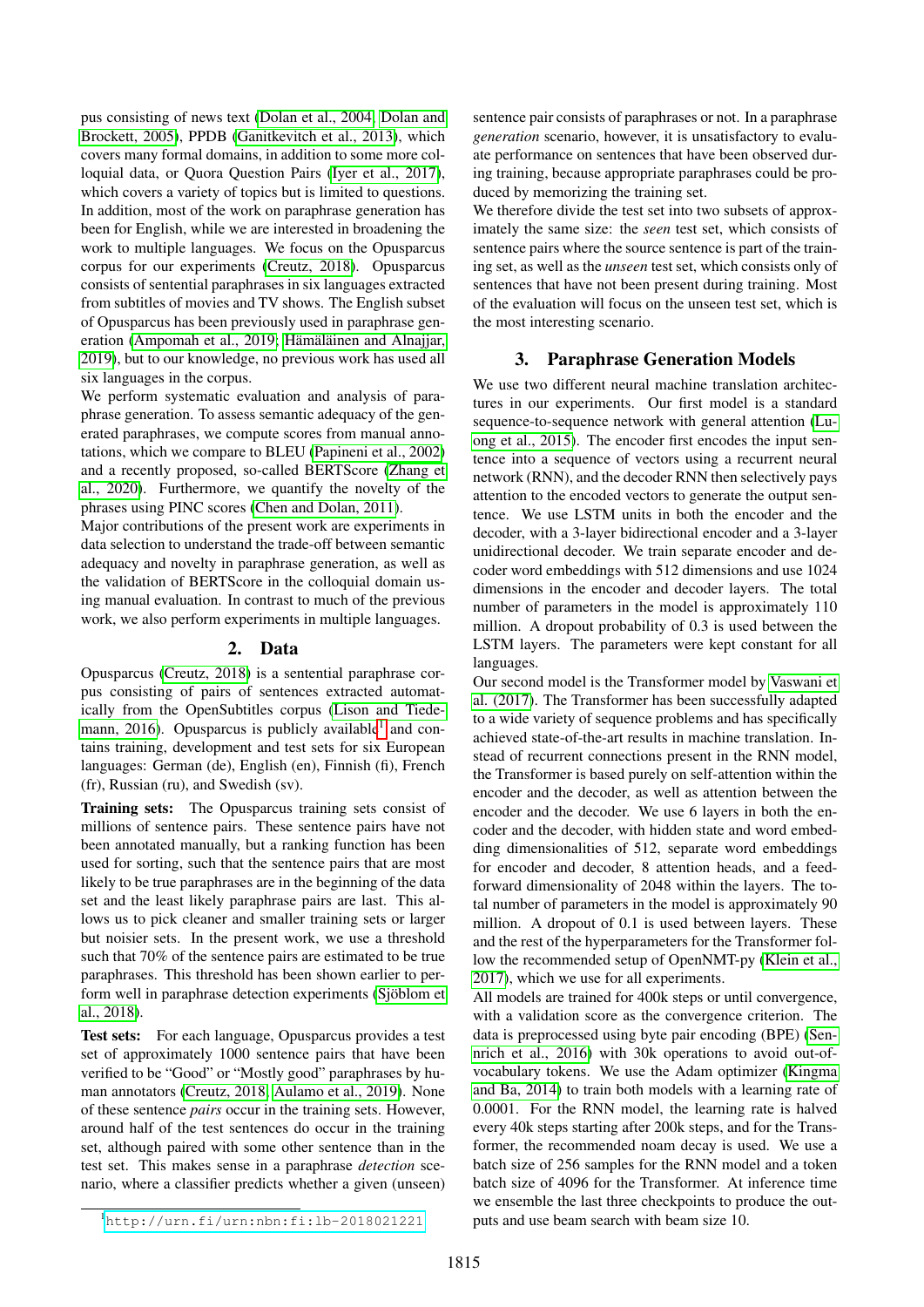pus consisting of news text [\(Dolan et al., 2004;](#page-6-1) [Dolan and](#page-6-2) [Brockett, 2005\)](#page-6-2), PPDB [\(Ganitkevitch et al., 2013\)](#page-6-3), which covers many formal domains, in addition to some more colloquial data, or Quora Question Pairs [\(Iyer et al., 2017\)](#page-7-18), which covers a variety of topics but is limited to questions. In addition, most of the work on paraphrase generation has been for English, while we are interested in broadening the work to multiple languages. We focus on the Opusparcus corpus for our experiments [\(Creutz, 2018\)](#page-6-4). Opusparcus consists of sentential paraphrases in six languages extracted from subtitles of movies and TV shows. The English subset of Opusparcus has been previously used in paraphrase generation [\(Ampomah et al., 2019;](#page-6-5) [Hämäläinen and Alnajjar,](#page-7-19) [2019\)](#page-7-19), but to our knowledge, no previous work has used all six languages in the corpus.

We perform systematic evaluation and analysis of paraphrase generation. To assess semantic adequacy of the generated paraphrases, we compute scores from manual annotations, which we compare to BLEU [\(Papineni et al., 2002\)](#page-7-20) and a recently proposed, so-called BERTScore [\(Zhang et](#page-8-1) [al., 2020\)](#page-8-1). Furthermore, we quantify the novelty of the phrases using PINC scores [\(Chen and Dolan, 2011\)](#page-6-6).

Major contributions of the present work are experiments in data selection to understand the trade-off between semantic adequacy and novelty in paraphrase generation, as well as the validation of BERTScore in the colloquial domain using manual evaluation. In contrast to much of the previous work, we also perform experiments in multiple languages.

# 2. Data

Opusparcus [\(Creutz, 2018\)](#page-6-4) is a sentential paraphrase corpus consisting of pairs of sentences extracted automatically from the OpenSubtitles corpus [\(Lison and Tiede](#page-7-21)[mann, 2016\)](#page-7-21). Opusparcus is publicly available<sup>[1](#page-1-0)</sup> and contains training, development and test sets for six European languages: German (de), English (en), Finnish (fi), French (fr), Russian (ru), and Swedish (sv).

Training sets: The Opusparcus training sets consist of millions of sentence pairs. These sentence pairs have not been annotated manually, but a ranking function has been used for sorting, such that the sentence pairs that are most likely to be true paraphrases are in the beginning of the data set and the least likely paraphrase pairs are last. This allows us to pick cleaner and smaller training sets or larger but noisier sets. In the present work, we use a threshold such that 70% of the sentence pairs are estimated to be true paraphrases. This threshold has been shown earlier to perform well in paraphrase detection experiments [\(Sjöblom et](#page-7-16) [al., 2018\)](#page-7-16).

Test sets: For each language, Opusparcus provides a test set of approximately 1000 sentence pairs that have been verified to be "Good" or "Mostly good" paraphrases by human annotators [\(Creutz, 2018;](#page-6-4) [Aulamo et al., 2019\)](#page-6-7). None of these sentence *pairs* occur in the training sets. However, around half of the test sentences do occur in the training set, although paired with some other sentence than in the test set. This makes sense in a paraphrase *detection* scenario, where a classifier predicts whether a given (unseen) sentence pair consists of paraphrases or not. In a paraphrase *generation* scenario, however, it is unsatisfactory to evaluate performance on sentences that have been observed during training, because appropriate paraphrases could be produced by memorizing the training set.

We therefore divide the test set into two subsets of approximately the same size: the *seen* test set, which consists of sentence pairs where the source sentence is part of the training set, as well as the *unseen* test set, which consists only of sentences that have not been present during training. Most of the evaluation will focus on the unseen test set, which is the most interesting scenario.

# 3. Paraphrase Generation Models

We use two different neural machine translation architectures in our experiments. Our first model is a standard sequence-to-sequence network with general attention [\(Lu](#page-7-3)[ong et al., 2015\)](#page-7-3). The encoder first encodes the input sentence into a sequence of vectors using a recurrent neural network (RNN), and the decoder RNN then selectively pays attention to the encoded vectors to generate the output sentence. We use LSTM units in both the encoder and the decoder, with a 3-layer bidirectional encoder and a 3-layer unidirectional decoder. We train separate encoder and decoder word embeddings with 512 dimensions and use 1024 dimensions in the encoder and decoder layers. The total number of parameters in the model is approximately 110 million. A dropout probability of 0.3 is used between the LSTM layers. The parameters were kept constant for all languages.

Our second model is the Transformer model by [Vaswani et](#page-7-4) [al. \(2017\)](#page-7-4). The Transformer has been successfully adapted to a wide variety of sequence problems and has specifically achieved state-of-the-art results in machine translation. Instead of recurrent connections present in the RNN model, the Transformer is based purely on self-attention within the encoder and the decoder, as well as attention between the encoder and the decoder. We use 6 layers in both the encoder and the decoder, with hidden state and word embedding dimensionalities of 512, separate word embeddings for encoder and decoder, 8 attention heads, and a feedforward dimensionality of 2048 within the layers. The total number of parameters in the model is approximately 90 million. A dropout of 0.1 is used between layers. These and the rest of the hyperparameters for the Transformer follow the recommended setup of OpenNMT-py [\(Klein et al.,](#page-7-22) [2017\)](#page-7-22), which we use for all experiments.

All models are trained for 400k steps or until convergence. with a validation score as the convergence criterion. The data is preprocessed using byte pair encoding (BPE) [\(Sen](#page-7-23)[nrich et al., 2016\)](#page-7-23) with 30k operations to avoid out-ofvocabulary tokens. We use the Adam optimizer [\(Kingma](#page-7-24) [and Ba, 2014\)](#page-7-24) to train both models with a learning rate of 0.0001. For the RNN model, the learning rate is halved every 40k steps starting after 200k steps, and for the Transformer, the recommended noam decay is used. We use a batch size of 256 samples for the RNN model and a token batch size of 4096 for the Transformer. At inference time we ensemble the last three checkpoints to produce the outputs and use beam search with beam size 10.

<span id="page-1-0"></span><sup>1</sup><http://urn.fi/urn:nbn:fi:lb-2018021221>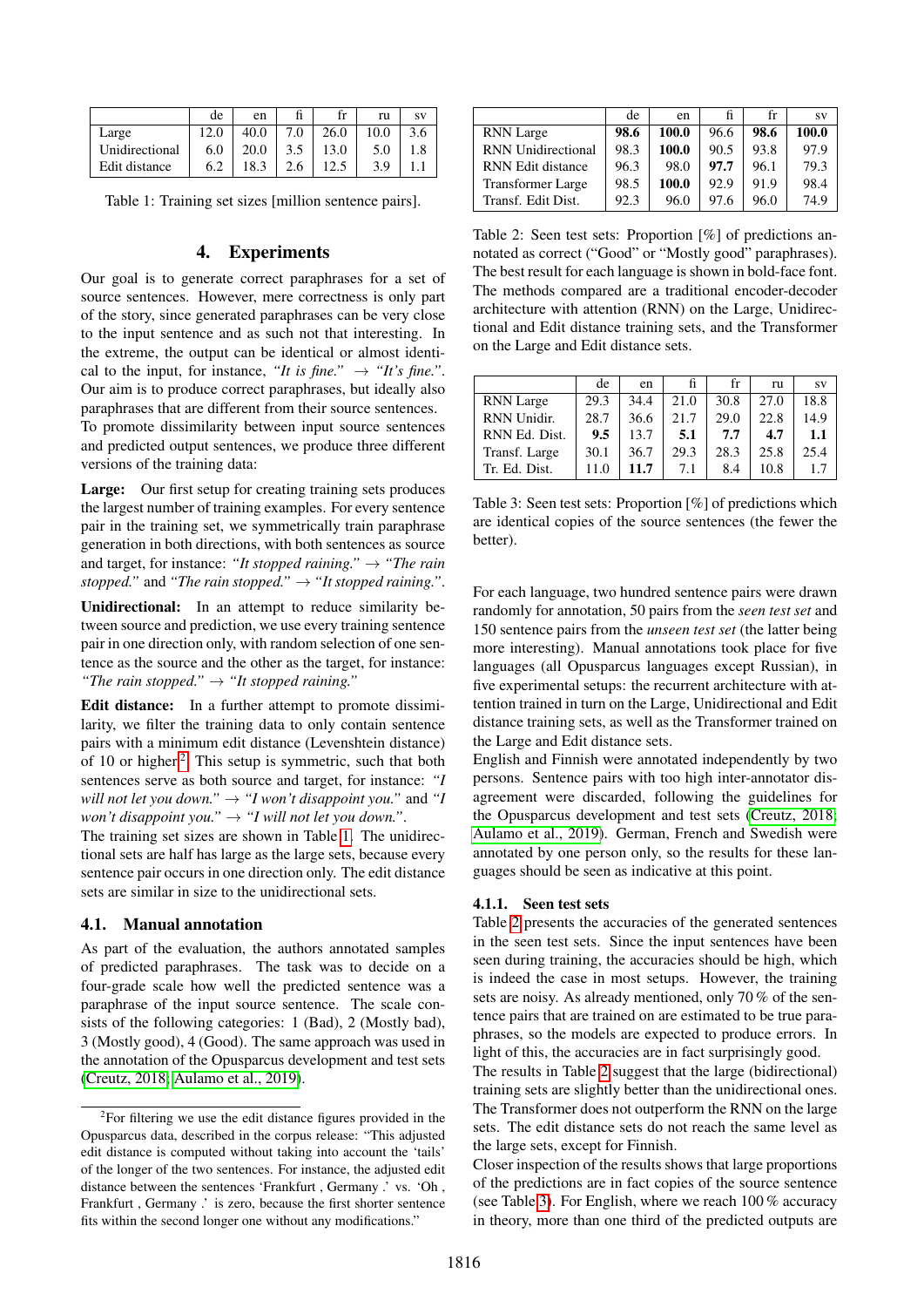<span id="page-2-1"></span>

|                | de  | en   |     |      | ru   | <b>SV</b> |
|----------------|-----|------|-----|------|------|-----------|
| Large          |     | 40.0 | 7.0 | 26.0 | 10.0 | 3.6       |
| Unidirectional | 6.0 | 20.0 | 3.5 | 13.0 | 5.0  |           |
| Edit distance  | 6.2 | 18.3 | 2.6 | 12.5 | 3.9  |           |

Table 1: Training set sizes [million sentence pairs].

# 4. Experiments

Our goal is to generate correct paraphrases for a set of source sentences. However, mere correctness is only part of the story, since generated paraphrases can be very close to the input sentence and as such not that interesting. In the extreme, the output can be identical or almost identical to the input, for instance, "It is fine."  $\rightarrow$  "It's fine.". Our aim is to produce correct paraphrases, but ideally also paraphrases that are different from their source sentences. To promote dissimilarity between input source sentences and predicted output sentences, we produce three different

Large: Our first setup for creating training sets produces the largest number of training examples. For every sentence pair in the training set, we symmetrically train paraphrase generation in both directions, with both sentences as source and target, for instance: *"It stopped raining."*  $\rightarrow$  *"The rain stopped.*" and "The rain stopped."  $\rightarrow$  "It stopped raining.".

Unidirectional: In an attempt to reduce similarity between source and prediction, we use every training sentence pair in one direction only, with random selection of one sentence as the source and the other as the target, for instance: *"The rain stopped."* → *"It stopped raining."*

Edit distance: In a further attempt to promote dissimilarity, we filter the training data to only contain sentence pairs with a minimum edit distance (Levenshtein distance) of 10 or higher.[2](#page-2-0) This setup is symmetric, such that both sentences serve as both source and target, for instance: *"I will not let you down.*"  $\rightarrow$  "*I won't disappoint you.*" and "*I won't disappoint you."* → *"I will not let you down."*.

The training set sizes are shown in Table [1.](#page-2-1) The unidirectional sets are half has large as the large sets, because every sentence pair occurs in one direction only. The edit distance sets are similar in size to the unidirectional sets.

# <span id="page-2-4"></span>4.1. Manual annotation

versions of the training data:

As part of the evaluation, the authors annotated samples of predicted paraphrases. The task was to decide on a four-grade scale how well the predicted sentence was a paraphrase of the input source sentence. The scale consists of the following categories: 1 (Bad), 2 (Mostly bad), 3 (Mostly good), 4 (Good). The same approach was used in the annotation of the Opusparcus development and test sets [\(Creutz, 2018;](#page-6-4) [Aulamo et al., 2019\)](#page-6-7).

<span id="page-2-2"></span>

|                           | de   | en    | ħ    | fr   | <b>SV</b> |
|---------------------------|------|-------|------|------|-----------|
| <b>RNN</b> Large          | 98.6 | 100.0 | 96.6 | 98.6 | 100.0     |
| <b>RNN</b> Unidirectional | 98.3 | 100.0 | 90.5 | 93.8 | 97.9      |
| RNN Edit distance         | 96.3 | 98.0  | 97.7 | 96.1 | 79.3      |
| <b>Transformer Large</b>  | 98.5 | 100.0 | 92.9 | 91.9 | 98.4      |
| Transf. Edit Dist.        | 92.3 | 96.0  | 97.6 | 96.0 | 74.9      |

Table 2: Seen test sets: Proportion [%] of predictions annotated as correct ("Good" or "Mostly good" paraphrases). The best result for each language is shown in bold-face font. The methods compared are a traditional encoder-decoder architecture with attention (RNN) on the Large, Unidirectional and Edit distance training sets, and the Transformer on the Large and Edit distance sets.

<span id="page-2-3"></span>

|                  | de   | en   |      | fr   | ru   | <b>SV</b> |
|------------------|------|------|------|------|------|-----------|
| <b>RNN</b> Large | 29.3 | 34.4 | 21.0 | 30.8 | 27.0 | 18.8      |
| RNN Unidir.      | 28.7 | 36.6 | 21.7 | 29.0 | 22.8 | 14.9      |
| RNN Ed. Dist.    | 9.5  | 13.7 | 5.1  | 7.7  | 4.7  | 1.1       |
| Transf. Large    | 30.1 | 36.7 | 29.3 | 28.3 | 25.8 | 25.4      |
| Tr. Ed. Dist.    | 11.0 | 11.7 | 7.1  | 8.4  | 10.8 | 1.7       |

Table 3: Seen test sets: Proportion [%] of predictions which are identical copies of the source sentences (the fewer the better).

For each language, two hundred sentence pairs were drawn randomly for annotation, 50 pairs from the *seen test set* and 150 sentence pairs from the *unseen test set* (the latter being more interesting). Manual annotations took place for five languages (all Opusparcus languages except Russian), in five experimental setups: the recurrent architecture with attention trained in turn on the Large, Unidirectional and Edit distance training sets, as well as the Transformer trained on the Large and Edit distance sets.

English and Finnish were annotated independently by two persons. Sentence pairs with too high inter-annotator disagreement were discarded, following the guidelines for the Opusparcus development and test sets [\(Creutz, 2018;](#page-6-4) [Aulamo et al., 2019\)](#page-6-7). German, French and Swedish were annotated by one person only, so the results for these languages should be seen as indicative at this point.

#### 4.1.1. Seen test sets

Table [2](#page-2-2) presents the accuracies of the generated sentences in the seen test sets. Since the input sentences have been seen during training, the accuracies should be high, which is indeed the case in most setups. However, the training sets are noisy. As already mentioned, only 70 % of the sentence pairs that are trained on are estimated to be true paraphrases, so the models are expected to produce errors. In light of this, the accuracies are in fact surprisingly good.

The results in Table [2](#page-2-2) suggest that the large (bidirectional) training sets are slightly better than the unidirectional ones. The Transformer does not outperform the RNN on the large sets. The edit distance sets do not reach the same level as the large sets, except for Finnish.

Closer inspection of the results shows that large proportions of the predictions are in fact copies of the source sentence (see Table [3\)](#page-2-3). For English, where we reach 100 % accuracy in theory, more than one third of the predicted outputs are

<span id="page-2-0"></span> $2$ For filtering we use the edit distance figures provided in the Opusparcus data, described in the corpus release: "This adjusted edit distance is computed without taking into account the 'tails' of the longer of the two sentences. For instance, the adjusted edit distance between the sentences 'Frankfurt , Germany .' vs. 'Oh , Frankfurt , Germany .' is zero, because the first shorter sentence fits within the second longer one without any modifications."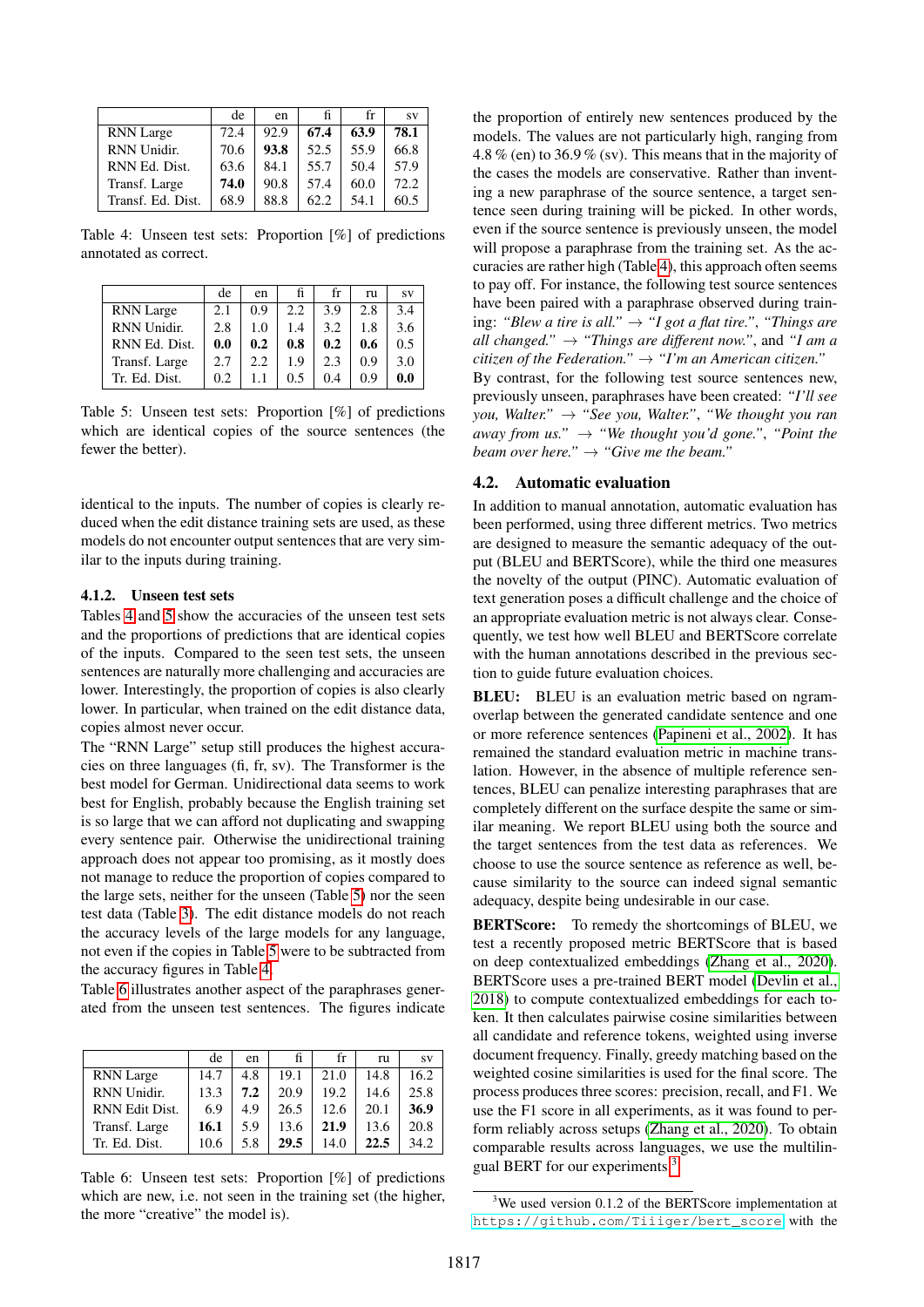<span id="page-3-0"></span>

|                   | de   | en   | fi   | fr   | <b>SV</b> |
|-------------------|------|------|------|------|-----------|
| <b>RNN</b> Large  | 72.4 | 92.9 | 67.4 | 63.9 | 78.1      |
| RNN Unidir.       | 70.6 | 93.8 | 52.5 | 55.9 | 66.8      |
| RNN Ed. Dist.     | 63.6 | 84.1 | 55.7 | 50.4 | 57.9      |
| Transf. Large     | 74.0 | 90.8 | 57.4 | 60.0 | 72.2      |
| Transf. Ed. Dist. | 68.9 | 88.8 | 62.2 | 54.1 | 60.5      |

Table 4: Unseen test sets: Proportion [%] of predictions annotated as correct.

<span id="page-3-1"></span>

|                  | de  | en  | fi  | fr  | ru  | <b>SV</b> |
|------------------|-----|-----|-----|-----|-----|-----------|
| <b>RNN</b> Large | 2.1 | 0.9 | 2.2 | 3.9 | 2.8 | 3.4       |
| RNN Unidir.      | 2.8 | 1.0 | 1.4 | 3.2 | 1.8 | 3.6       |
| RNN Ed. Dist.    | 0.0 | 0.2 | 0.8 | 0.2 | 0.6 | 0.5       |
| Transf. Large    | 2.7 | 2.2 | 1.9 | 2.3 | 0.9 | 3.0       |
| Tr. Ed. Dist.    | 0.2 |     | 0.5 | 0.4 | 0.9 | 0.0       |

Table 5: Unseen test sets: Proportion [%] of predictions which are identical copies of the source sentences (the fewer the better).

identical to the inputs. The number of copies is clearly reduced when the edit distance training sets are used, as these models do not encounter output sentences that are very similar to the inputs during training.

### 4.1.2. Unseen test sets

Tables [4](#page-3-0) and [5](#page-3-1) show the accuracies of the unseen test sets and the proportions of predictions that are identical copies of the inputs. Compared to the seen test sets, the unseen sentences are naturally more challenging and accuracies are lower. Interestingly, the proportion of copies is also clearly lower. In particular, when trained on the edit distance data, copies almost never occur.

The "RNN Large" setup still produces the highest accuracies on three languages (fi, fr, sv). The Transformer is the best model for German. Unidirectional data seems to work best for English, probably because the English training set is so large that we can afford not duplicating and swapping every sentence pair. Otherwise the unidirectional training approach does not appear too promising, as it mostly does not manage to reduce the proportion of copies compared to the large sets, neither for the unseen (Table [5\)](#page-3-1) nor the seen test data (Table [3\)](#page-2-3). The edit distance models do not reach the accuracy levels of the large models for any language, not even if the copies in Table [5](#page-3-1) were to be subtracted from the accuracy figures in Table [4.](#page-3-0)

Table [6](#page-3-2) illustrates another aspect of the paraphrases generated from the unseen test sentences. The figures indicate

<span id="page-3-2"></span>

|                  | de   | en  |      | fr   | ru   | <b>SV</b> |
|------------------|------|-----|------|------|------|-----------|
| <b>RNN</b> Large | 14.7 | 4.8 | 19.1 | 21.0 | 14.8 | 16.2      |
| RNN Unidir.      | 13.3 | 7.2 | 20.9 | 19.2 | 14.6 | 25.8      |
| RNN Edit Dist.   | 6.9  | 4.9 | 26.5 | 12.6 | 20.1 | 36.9      |
| Transf. Large    | 16.1 | 5.9 | 13.6 | 21.9 | 13.6 | 20.8      |
| Tr. Ed. Dist.    | 10.6 | 5.8 | 29.5 | 14.0 | 22.5 | 34.2      |

Table 6: Unseen test sets: Proportion [%] of predictions which are new, i.e. not seen in the training set (the higher, the more "creative" the model is).

the proportion of entirely new sentences produced by the models. The values are not particularly high, ranging from 4.8 % (en) to 36.9 % (sv). This means that in the majority of the cases the models are conservative. Rather than inventing a new paraphrase of the source sentence, a target sentence seen during training will be picked. In other words, even if the source sentence is previously unseen, the model will propose a paraphrase from the training set. As the accuracies are rather high (Table [4\)](#page-3-0), this approach often seems to pay off. For instance, the following test source sentences have been paired with a paraphrase observed during training: *"Blew a tire is all."* → *"I got a flat tire."*, *"Things are all changed."*  $\rightarrow$  "Things are different now.", and "I am a *citizen of the Federation."* → *"I'm an American citizen."* By contrast, for the following test source sentences new, previously unseen, paraphrases have been created: *"I'll see you, Walter."* → *"See you, Walter."*, *"We thought you ran away from us.*"  $\rightarrow$  "We thought you'd gone.", "Point the *beam over here."* → *"Give me the beam."*

### 4.2. Automatic evaluation

In addition to manual annotation, automatic evaluation has been performed, using three different metrics. Two metrics are designed to measure the semantic adequacy of the output (BLEU and BERTScore), while the third one measures the novelty of the output (PINC). Automatic evaluation of text generation poses a difficult challenge and the choice of an appropriate evaluation metric is not always clear. Consequently, we test how well BLEU and BERTScore correlate with the human annotations described in the previous section to guide future evaluation choices.

BLEU: BLEU is an evaluation metric based on ngramoverlap between the generated candidate sentence and one or more reference sentences [\(Papineni et al., 2002\)](#page-7-20). It has remained the standard evaluation metric in machine translation. However, in the absence of multiple reference sentences, BLEU can penalize interesting paraphrases that are completely different on the surface despite the same or similar meaning. We report BLEU using both the source and the target sentences from the test data as references. We choose to use the source sentence as reference as well, because similarity to the source can indeed signal semantic adequacy, despite being undesirable in our case.

BERTScore: To remedy the shortcomings of BLEU, we test a recently proposed metric BERTScore that is based on deep contextualized embeddings [\(Zhang et al., 2020\)](#page-8-1). BERTScore uses a pre-trained BERT model [\(Devlin et al.,](#page-6-8) [2018\)](#page-6-8) to compute contextualized embeddings for each token. It then calculates pairwise cosine similarities between all candidate and reference tokens, weighted using inverse document frequency. Finally, greedy matching based on the weighted cosine similarities is used for the final score. The process produces three scores: precision, recall, and F1. We use the F1 score in all experiments, as it was found to perform reliably across setups [\(Zhang et al., 2020\)](#page-8-1). To obtain comparable results across languages, we use the multilingual BERT for our experiments.[3](#page-3-3)

<span id="page-3-3"></span><sup>&</sup>lt;sup>3</sup>We used version 0.1.2 of the BERTScore implementation at [https://github.com/Tiiiger/bert\\_score](https://github.com/Tiiiger/bert_score) with the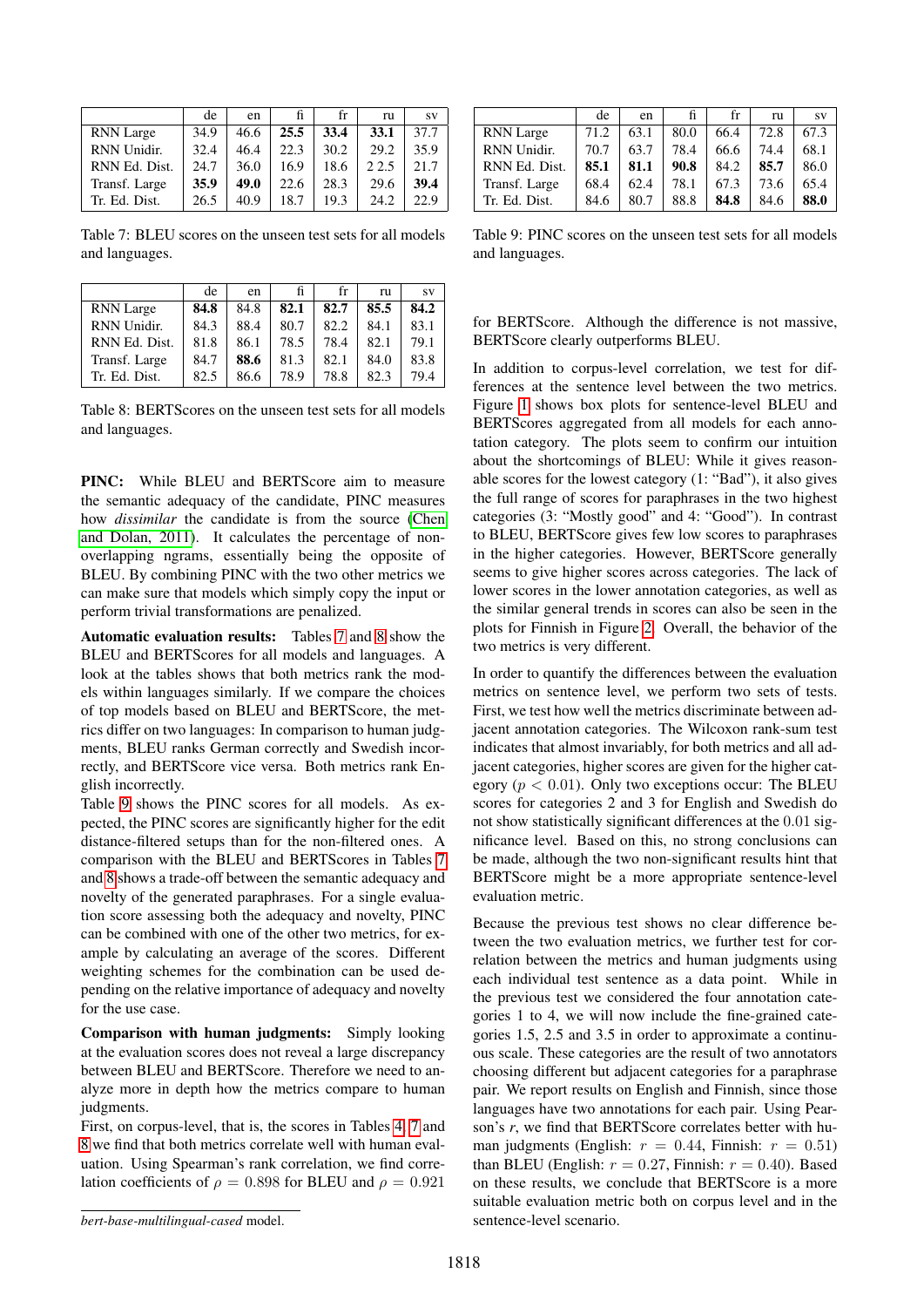<span id="page-4-0"></span>

|                  | de   | en   | fi.  | fr   | ru    | <b>SV</b> |
|------------------|------|------|------|------|-------|-----------|
| <b>RNN</b> Large | 34.9 | 46.6 | 25.5 | 33.4 | 33.1  | 37.7      |
| RNN Unidir.      | 32.4 | 46.4 | 22.3 | 30.2 | 29.2  | 35.9      |
| RNN Ed. Dist.    | 24.7 | 36.0 | 16.9 | 18.6 | 2 2.5 | 21.7      |
| Transf. Large    | 35.9 | 49.0 | 22.6 | 28.3 | 29.6  | 39.4      |
| Tr. Ed. Dist.    | 26.5 | 40.9 | 18.7 | 19.3 | 24.2  | 22.9      |

Table 7: BLEU scores on the unseen test sets for all models and languages.

<span id="page-4-1"></span>

|                  | de   | en   |      | fr   | ru   | <b>SV</b> |
|------------------|------|------|------|------|------|-----------|
| <b>RNN</b> Large | 84.8 | 84.8 | 82.1 | 82.7 | 85.5 | 84.2      |
| RNN Unidir.      | 84.3 | 88.4 | 80.7 | 82.2 | 84.1 | 83.1      |
| RNN Ed. Dist.    | 81.8 | 86.1 | 78.5 | 78.4 | 82.1 | 79.1      |
| Transf. Large    | 84.7 | 88.6 | 81.3 | 82.1 | 84.0 | 83.8      |
| Tr. Ed. Dist.    | 82.5 | 86.6 | 78.9 | 78.8 | 82.3 | 79.4      |

Table 8: BERTScores on the unseen test sets for all models and languages.

PINC: While BLEU and BERTScore aim to measure the semantic adequacy of the candidate, PINC measures how *dissimilar* the candidate is from the source [\(Chen](#page-6-6) [and Dolan, 2011\)](#page-6-6). It calculates the percentage of nonoverlapping ngrams, essentially being the opposite of BLEU. By combining PINC with the two other metrics we can make sure that models which simply copy the input or perform trivial transformations are penalized.

Automatic evaluation results: Tables [7](#page-4-0) and [8](#page-4-1) show the BLEU and BERTScores for all models and languages. A look at the tables shows that both metrics rank the models within languages similarly. If we compare the choices of top models based on BLEU and BERTScore, the metrics differ on two languages: In comparison to human judgments, BLEU ranks German correctly and Swedish incorrectly, and BERTScore vice versa. Both metrics rank English incorrectly.

Table [9](#page-4-2) shows the PINC scores for all models. As expected, the PINC scores are significantly higher for the edit distance-filtered setups than for the non-filtered ones. A comparison with the BLEU and BERTScores in Tables [7](#page-4-0) and [8](#page-4-1) shows a trade-off between the semantic adequacy and novelty of the generated paraphrases. For a single evaluation score assessing both the adequacy and novelty, PINC can be combined with one of the other two metrics, for example by calculating an average of the scores. Different weighting schemes for the combination can be used depending on the relative importance of adequacy and novelty for the use case.

Comparison with human judgments: Simply looking at the evaluation scores does not reveal a large discrepancy between BLEU and BERTScore. Therefore we need to analyze more in depth how the metrics compare to human judgments.

First, on corpus-level, that is, the scores in Tables [4,](#page-3-0) [7](#page-4-0) and [8](#page-4-1) we find that both metrics correlate well with human evaluation. Using Spearman's rank correlation, we find correlation coefficients of  $\rho = 0.898$  for BLEU and  $\rho = 0.921$ 

<span id="page-4-2"></span>

|                  | de   | en   | fi.  | fr   | ru   | <b>SV</b> |
|------------------|------|------|------|------|------|-----------|
| <b>RNN</b> Large | 71.2 | 63.1 | 80.0 | 66.4 | 72.8 | 67.3      |
| RNN Unidir.      | 70.7 | 63.7 | 78.4 | 66.6 | 74.4 | 68.1      |
| RNN Ed. Dist.    | 85.1 | 81.1 | 90.8 | 84.2 | 85.7 | 86.0      |
| Transf. Large    | 68.4 | 62.4 | 78.1 | 67.3 | 73.6 | 65.4      |
| Tr. Ed. Dist.    | 84.6 | 80.7 | 88.8 | 84.8 | 84.6 | 88.0      |

Table 9: PINC scores on the unseen test sets for all models and languages.

for BERTScore. Although the difference is not massive, BERTScore clearly outperforms BLEU.

In addition to corpus-level correlation, we test for differences at the sentence level between the two metrics. Figure [1](#page-5-0) shows box plots for sentence-level BLEU and BERTScores aggregated from all models for each annotation category. The plots seem to confirm our intuition about the shortcomings of BLEU: While it gives reasonable scores for the lowest category (1: "Bad"), it also gives the full range of scores for paraphrases in the two highest categories (3: "Mostly good" and 4: "Good"). In contrast to BLEU, BERTScore gives few low scores to paraphrases in the higher categories. However, BERTScore generally seems to give higher scores across categories. The lack of lower scores in the lower annotation categories, as well as the similar general trends in scores can also be seen in the plots for Finnish in Figure [2.](#page-5-1) Overall, the behavior of the two metrics is very different.

In order to quantify the differences between the evaluation metrics on sentence level, we perform two sets of tests. First, we test how well the metrics discriminate between adjacent annotation categories. The Wilcoxon rank-sum test indicates that almost invariably, for both metrics and all adjacent categories, higher scores are given for the higher category ( $p < 0.01$ ). Only two exceptions occur: The BLEU scores for categories 2 and 3 for English and Swedish do not show statistically significant differences at the 0.01 significance level. Based on this, no strong conclusions can be made, although the two non-significant results hint that BERTScore might be a more appropriate sentence-level evaluation metric.

Because the previous test shows no clear difference between the two evaluation metrics, we further test for correlation between the metrics and human judgments using each individual test sentence as a data point. While in the previous test we considered the four annotation categories 1 to 4, we will now include the fine-grained categories 1.5, 2.5 and 3.5 in order to approximate a continuous scale. These categories are the result of two annotators choosing different but adjacent categories for a paraphrase pair. We report results on English and Finnish, since those languages have two annotations for each pair. Using Pearson's *r*, we find that BERTScore correlates better with human judgments (English:  $r = 0.44$ , Finnish:  $r = 0.51$ ) than BLEU (English:  $r = 0.27$ , Finnish:  $r = 0.40$ ). Based on these results, we conclude that BERTScore is a more suitable evaluation metric both on corpus level and in the sentence-level scenario.

*bert-base-multilingual-cased* model.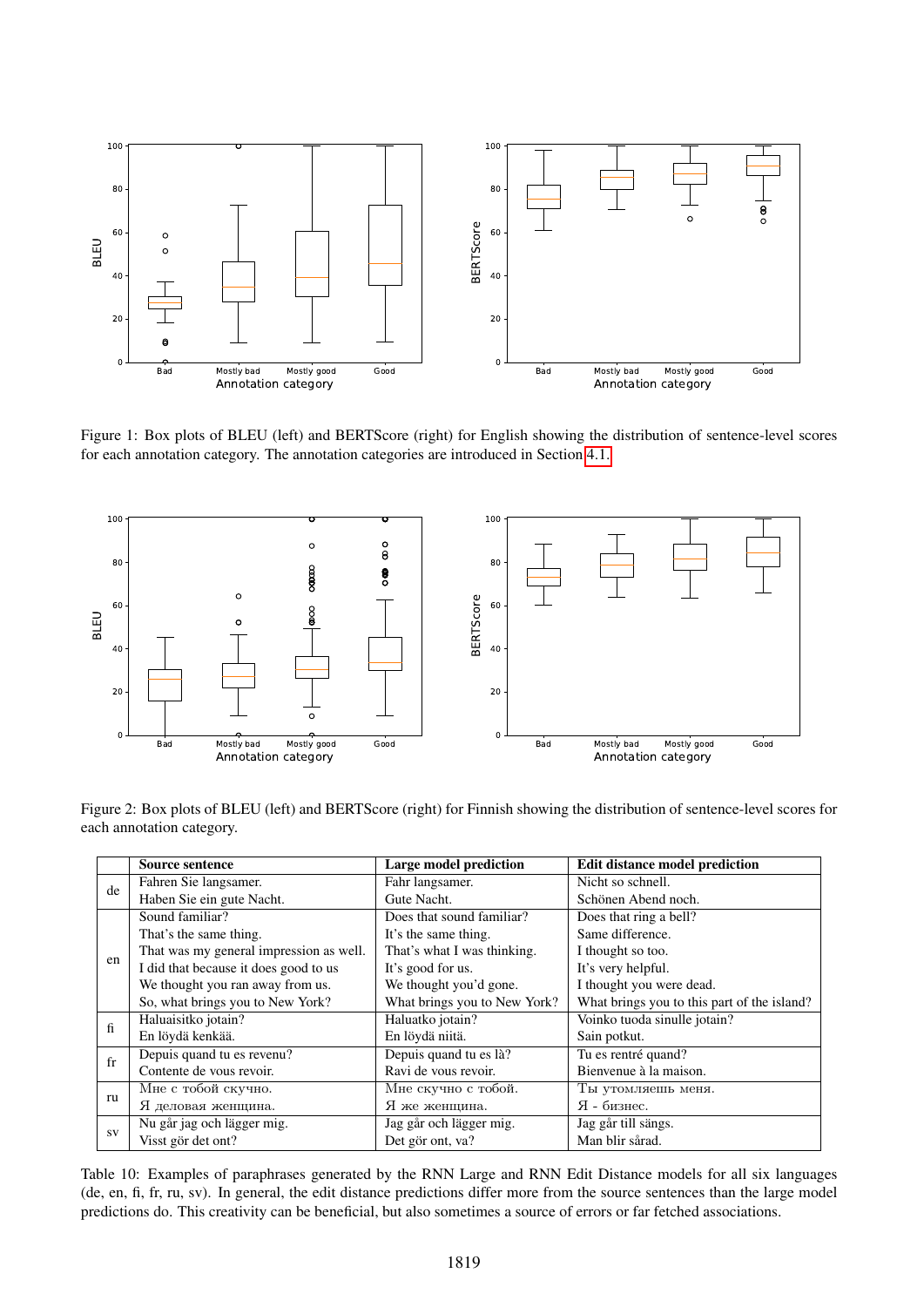<span id="page-5-0"></span>

Figure 1: Box plots of BLEU (left) and BERTScore (right) for English showing the distribution of sentence-level scores for each annotation category. The annotation categories are introduced in Section [4.1.](#page-2-4)

<span id="page-5-1"></span>

<span id="page-5-2"></span>Figure 2: Box plots of BLEU (left) and BERTScore (right) for Finnish showing the distribution of sentence-level scores for each annotation category.

| 100<br>80               |                                                                                                                      | σ       |                                                        | 100 |                                    |                                             |      |
|-------------------------|----------------------------------------------------------------------------------------------------------------------|---------|--------------------------------------------------------|-----|------------------------------------|---------------------------------------------|------|
|                         |                                                                                                                      | $\circ$ |                                                        |     |                                    |                                             |      |
|                         | $\circ$                                                                                                              | 8       |                                                        | 80  |                                    |                                             |      |
|                         | oaao                                                                                                                 | 8       |                                                        |     |                                    |                                             |      |
|                         | $\circ$                                                                                                              |         |                                                        | 60  |                                    |                                             |      |
|                         | 8 <sup>o</sup><br>o                                                                                                  |         | <b>BERTScore</b>                                       |     |                                    |                                             |      |
|                         |                                                                                                                      |         |                                                        |     |                                    |                                             |      |
|                         |                                                                                                                      |         |                                                        | 40  |                                    |                                             |      |
|                         |                                                                                                                      |         |                                                        |     |                                    |                                             |      |
|                         |                                                                                                                      |         |                                                        | 20  |                                    |                                             |      |
|                         | $\circ$                                                                                                              |         |                                                        |     |                                    |                                             |      |
|                         |                                                                                                                      |         |                                                        | 0   |                                    |                                             |      |
| Bad                     | Mostly bad<br>Mostly good<br>Annotation category                                                                     | Good    |                                                        | Bad | Mostly bad                         | Mostly good<br>Annotation category          | Good |
| ch annotation category. | gure 2: Box plots of BLEU (left) and BERTScore (right) for Finnish showing the distribution of sentence-level scores |         |                                                        |     |                                    |                                             |      |
| <b>Source sentence</b>  |                                                                                                                      |         | <b>Large model prediction</b>                          |     |                                    | <b>Edit distance model prediction</b>       |      |
|                         | Fahren Sie langsamer.                                                                                                |         | Fahr langsamer.                                        |     | Nicht so schnell.                  |                                             |      |
|                         | Haben Sie ein gute Nacht.                                                                                            |         | Gute Nacht.                                            |     |                                    | Schönen Abend noch.                         |      |
| Sound familiar?         |                                                                                                                      |         | Does that sound familiar?                              |     | Does that ring a bell?             |                                             |      |
|                         | That's the same thing.                                                                                               |         | It's the same thing.                                   |     | Same difference.                   |                                             |      |
|                         | That was my general impression as well.                                                                              |         | That's what I was thinking.                            |     | I thought so too.                  |                                             |      |
|                         | I did that because it does good to us                                                                                |         | It's good for us.                                      |     | It's very helpful.                 | I thought you were dead.                    |      |
|                         | We thought you ran away from us.<br>So, what brings you to New York?                                                 |         | We thought you'd gone.<br>What brings you to New York? |     |                                    | What brings you to this part of the island? |      |
|                         | Haluaisitko jotain?                                                                                                  |         | Haluatko jotain?                                       |     |                                    | Voinko tuoda sinulle jotain?                |      |
| En löydä kenkää.        |                                                                                                                      |         | En löydä niitä.                                        |     | Sain potkut.                       |                                             |      |
|                         | Depuis quand tu es revenu?                                                                                           |         | Depuis quand tu es là?                                 |     | Tu es rentré quand?                |                                             |      |
|                         | Contente de vous revoir.                                                                                             |         | Ravi de vous revoir.                                   |     |                                    | Bienvenue à la maison.                      |      |
|                         | Мне с тобой скучно.                                                                                                  |         | Мне скучно с тобой.                                    |     |                                    | Ты утомляешь меня.                          |      |
|                         | Я деловая женщина.<br>Nu går jag och lägger mig.                                                                     |         | Я же женщина.<br>Jag går och lägger mig.               |     | Я - бизнес.<br>Jag går till sängs. |                                             |      |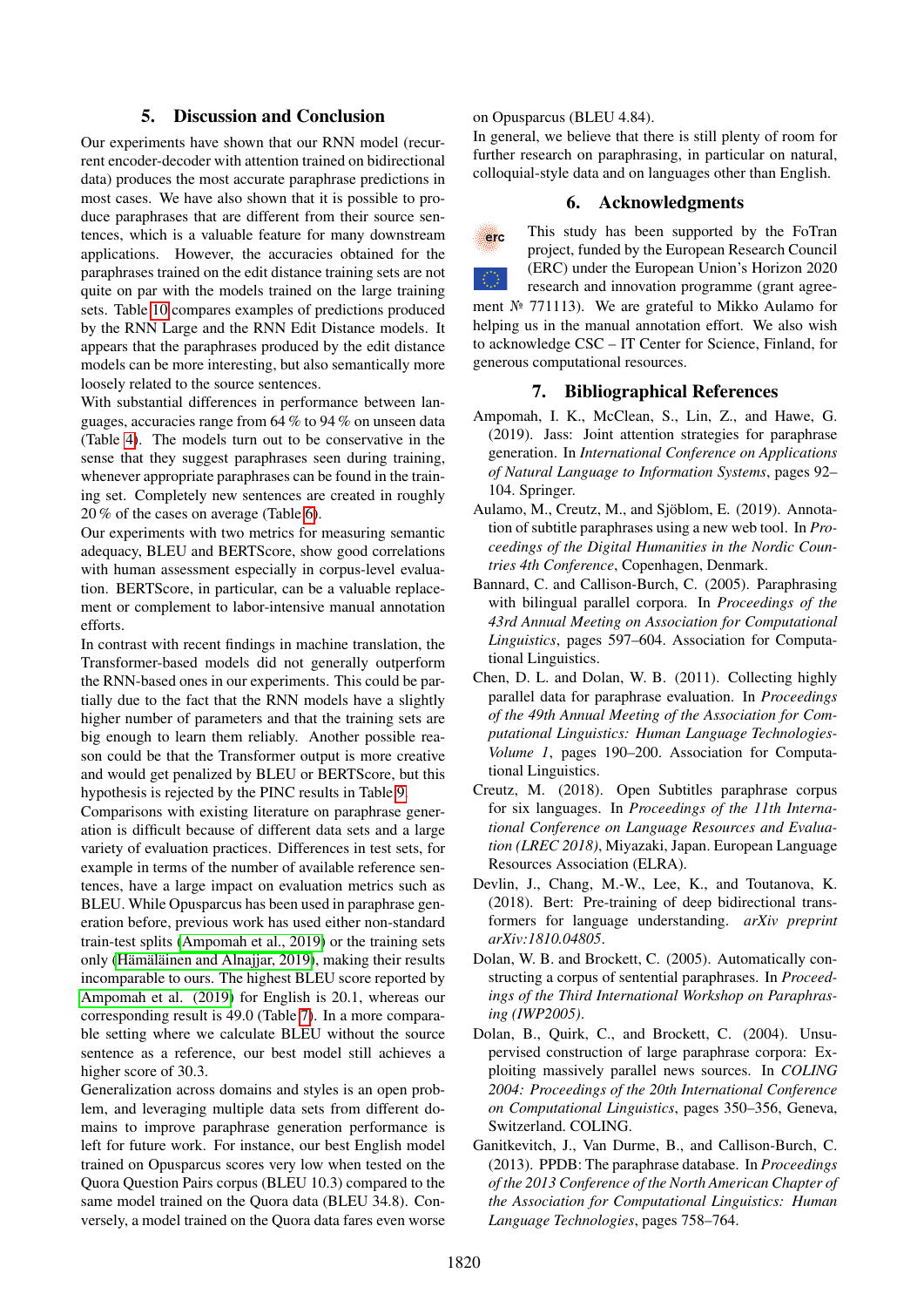# 5. Discussion and Conclusion

Our experiments have shown that our RNN model (recurrent encoder-decoder with attention trained on bidirectional data) produces the most accurate paraphrase predictions in most cases. We have also shown that it is possible to produce paraphrases that are different from their source sentences, which is a valuable feature for many downstream applications. However, the accuracies obtained for the paraphrases trained on the edit distance training sets are not quite on par with the models trained on the large training sets. Table [10](#page-5-2) compares examples of predictions produced by the RNN Large and the RNN Edit Distance models. It appears that the paraphrases produced by the edit distance models can be more interesting, but also semantically more loosely related to the source sentences.

With substantial differences in performance between languages, accuracies range from 64 % to 94 % on unseen data (Table [4\)](#page-3-0). The models turn out to be conservative in the sense that they suggest paraphrases seen during training, whenever appropriate paraphrases can be found in the training set. Completely new sentences are created in roughly 20 % of the cases on average (Table [6\)](#page-3-2).

Our experiments with two metrics for measuring semantic adequacy, BLEU and BERTScore, show good correlations with human assessment especially in corpus-level evaluation. BERTScore, in particular, can be a valuable replacement or complement to labor-intensive manual annotation efforts.

In contrast with recent findings in machine translation, the Transformer-based models did not generally outperform the RNN-based ones in our experiments. This could be partially due to the fact that the RNN models have a slightly higher number of parameters and that the training sets are big enough to learn them reliably. Another possible reason could be that the Transformer output is more creative and would get penalized by BLEU or BERTScore, but this hypothesis is rejected by the PINC results in Table [9.](#page-4-2)

Comparisons with existing literature on paraphrase generation is difficult because of different data sets and a large variety of evaluation practices. Differences in test sets, for example in terms of the number of available reference sentences, have a large impact on evaluation metrics such as BLEU. While Opusparcus has been used in paraphrase generation before, previous work has used either non-standard train-test splits [\(Ampomah et al., 2019\)](#page-6-5) or the training sets only [\(Hämäläinen and Alnajjar, 2019\)](#page-7-19), making their results incomparable to ours. The highest BLEU score reported by [Ampomah et al. \(2019\)](#page-6-5) for English is 20.1, whereas our corresponding result is 49.0 (Table [7\)](#page-4-0). In a more comparable setting where we calculate BLEU without the source sentence as a reference, our best model still achieves a higher score of 30.3.

Generalization across domains and styles is an open problem, and leveraging multiple data sets from different domains to improve paraphrase generation performance is left for future work. For instance, our best English model trained on Opusparcus scores very low when tested on the Quora Question Pairs corpus (BLEU 10.3) compared to the same model trained on the Quora data (BLEU 34.8). Conversely, a model trained on the Quora data fares even worse

### on Opusparcus (BLEU 4.84).

In general, we believe that there is still plenty of room for further research on paraphrasing, in particular on natural, colloquial-style data and on languages other than English.

# 6. Acknowledgments



This study has been supported by the FoTran project, funded by the European Research Council (ERC) under the European Union's Horizon 2020

research and innovation programme (grant agreement № 771113). We are grateful to Mikko Aulamo for helping us in the manual annotation effort. We also wish to acknowledge CSC – IT Center for Science, Finland, for generous computational resources.

### 7. Bibliographical References

- <span id="page-6-5"></span>Ampomah, I. K., McClean, S., Lin, Z., and Hawe, G. (2019). Jass: Joint attention strategies for paraphrase generation. In *International Conference on Applications of Natural Language to Information Systems*, pages 92– 104. Springer.
- <span id="page-6-7"></span>Aulamo, M., Creutz, M., and Sjöblom, E. (2019). Annotation of subtitle paraphrases using a new web tool. In *Proceedings of the Digital Humanities in the Nordic Countries 4th Conference*, Copenhagen, Denmark.
- <span id="page-6-0"></span>Bannard, C. and Callison-Burch, C. (2005). Paraphrasing with bilingual parallel corpora. In *Proceedings of the 43rd Annual Meeting on Association for Computational Linguistics*, pages 597–604. Association for Computational Linguistics.
- <span id="page-6-6"></span>Chen, D. L. and Dolan, W. B. (2011). Collecting highly parallel data for paraphrase evaluation. In *Proceedings of the 49th Annual Meeting of the Association for Computational Linguistics: Human Language Technologies-Volume 1*, pages 190–200. Association for Computational Linguistics.
- <span id="page-6-4"></span>Creutz, M. (2018). Open Subtitles paraphrase corpus for six languages. In *Proceedings of the 11th International Conference on Language Resources and Evaluation (LREC 2018)*, Miyazaki, Japan. European Language Resources Association (ELRA).
- <span id="page-6-8"></span>Devlin, J., Chang, M.-W., Lee, K., and Toutanova, K. (2018). Bert: Pre-training of deep bidirectional transformers for language understanding. *arXiv preprint arXiv:1810.04805*.
- <span id="page-6-2"></span>Dolan, W. B. and Brockett, C. (2005). Automatically constructing a corpus of sentential paraphrases. In *Proceedings of the Third International Workshop on Paraphrasing (IWP2005)*.
- <span id="page-6-1"></span>Dolan, B., Quirk, C., and Brockett, C. (2004). Unsupervised construction of large paraphrase corpora: Exploiting massively parallel news sources. In *COLING 2004: Proceedings of the 20th International Conference on Computational Linguistics*, pages 350–356, Geneva, Switzerland. COLING.
- <span id="page-6-3"></span>Ganitkevitch, J., Van Durme, B., and Callison-Burch, C. (2013). PPDB: The paraphrase database. In *Proceedings of the 2013 Conference of the North American Chapter of the Association for Computational Linguistics: Human Language Technologies*, pages 758–764.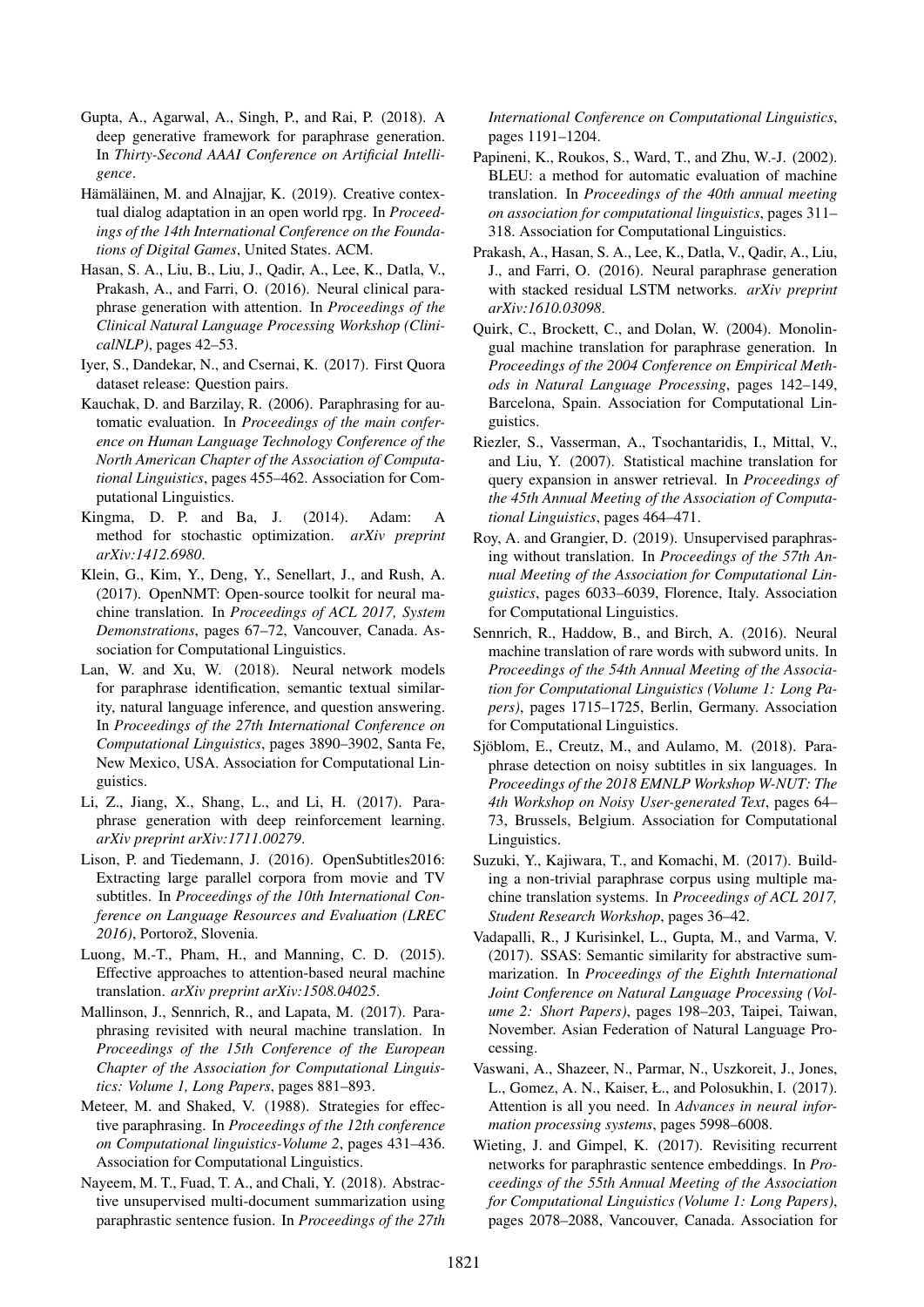- <span id="page-7-8"></span>Gupta, A., Agarwal, A., Singh, P., and Rai, P. (2018). A deep generative framework for paraphrase generation. In *Thirty-Second AAAI Conference on Artificial Intelligence*.
- <span id="page-7-19"></span>Hämäläinen, M. and Alnajjar, K. (2019). Creative contextual dialog adaptation in an open world rpg. In *Proceedings of the 14th International Conference on the Foundations of Digital Games*, United States. ACM.
- <span id="page-7-6"></span>Hasan, S. A., Liu, B., Liu, J., Qadir, A., Lee, K., Datla, V., Prakash, A., and Farri, O. (2016). Neural clinical paraphrase generation with attention. In *Proceedings of the Clinical Natural Language Processing Workshop (ClinicalNLP)*, pages 42–53.
- <span id="page-7-18"></span>Iyer, S., Dandekar, N., and Csernai, K. (2017). First Quora dataset release: Question pairs.
- <span id="page-7-14"></span>Kauchak, D. and Barzilay, R. (2006). Paraphrasing for automatic evaluation. In *Proceedings of the main conference on Human Language Technology Conference of the North American Chapter of the Association of Computational Linguistics*, pages 455–462. Association for Computational Linguistics.
- <span id="page-7-24"></span>Kingma, D. P. and Ba, J. (2014). Adam: A method for stochastic optimization. *arXiv preprint arXiv:1412.6980*.
- <span id="page-7-22"></span>Klein, G., Kim, Y., Deng, Y., Senellart, J., and Rush, A. (2017). OpenNMT: Open-source toolkit for neural machine translation. In *Proceedings of ACL 2017, System Demonstrations*, pages 67–72, Vancouver, Canada. Association for Computational Linguistics.
- <span id="page-7-17"></span>Lan, W. and Xu, W. (2018). Neural network models for paraphrase identification, semantic textual similarity, natural language inference, and question answering. In *Proceedings of the 27th International Conference on Computational Linguistics*, pages 3890–3902, Santa Fe, New Mexico, USA. Association for Computational Linguistics.
- <span id="page-7-9"></span>Li, Z., Jiang, X., Shang, L., and Li, H. (2017). Paraphrase generation with deep reinforcement learning. *arXiv preprint arXiv:1711.00279*.
- <span id="page-7-21"></span>Lison, P. and Tiedemann, J. (2016). OpenSubtitles2016: Extracting large parallel corpora from movie and TV subtitles. In *Proceedings of the 10th International Conference on Language Resources and Evaluation (LREC 2016)*, Portorož, Slovenia.
- <span id="page-7-3"></span>Luong, M.-T., Pham, H., and Manning, C. D. (2015). Effective approaches to attention-based neural machine translation. *arXiv preprint arXiv:1508.04025*.
- <span id="page-7-11"></span>Mallinson, J., Sennrich, R., and Lapata, M. (2017). Paraphrasing revisited with neural machine translation. In *Proceedings of the 15th Conference of the European Chapter of the Association for Computational Linguistics: Volume 1, Long Papers*, pages 881–893.
- <span id="page-7-13"></span>Meteer, M. and Shaked, V. (1988). Strategies for effective paraphrasing. In *Proceedings of the 12th conference on Computational linguistics-Volume 2*, pages 431–436. Association for Computational Linguistics.
- <span id="page-7-1"></span>Nayeem, M. T., Fuad, T. A., and Chali, Y. (2018). Abstractive unsupervised multi-document summarization using paraphrastic sentence fusion. In *Proceedings of the 27th*

*International Conference on Computational Linguistics*, pages 1191–1204.

- <span id="page-7-20"></span>Papineni, K., Roukos, S., Ward, T., and Zhu, W.-J. (2002). BLEU: a method for automatic evaluation of machine translation. In *Proceedings of the 40th annual meeting on association for computational linguistics*, pages 311– 318. Association for Computational Linguistics.
- <span id="page-7-7"></span>Prakash, A., Hasan, S. A., Lee, K., Datla, V., Qadir, A., Liu, J., and Farri, O. (2016). Neural paraphrase generation with stacked residual LSTM networks. *arXiv preprint arXiv:1610.03098*.
- <span id="page-7-5"></span>Quirk, C., Brockett, C., and Dolan, W. (2004). Monolingual machine translation for paraphrase generation. In *Proceedings of the 2004 Conference on Empirical Methods in Natural Language Processing*, pages 142–149, Barcelona, Spain. Association for Computational Linguistics.
- <span id="page-7-0"></span>Riezler, S., Vasserman, A., Tsochantaridis, I., Mittal, V., and Liu, Y. (2007). Statistical machine translation for query expansion in answer retrieval. In *Proceedings of the 45th Annual Meeting of the Association of Computational Linguistics*, pages 464–471.
- <span id="page-7-10"></span>Roy, A. and Grangier, D. (2019). Unsupervised paraphrasing without translation. In *Proceedings of the 57th Annual Meeting of the Association for Computational Linguistics*, pages 6033–6039, Florence, Italy. Association for Computational Linguistics.
- <span id="page-7-23"></span>Sennrich, R., Haddow, B., and Birch, A. (2016). Neural machine translation of rare words with subword units. In *Proceedings of the 54th Annual Meeting of the Association for Computational Linguistics (Volume 1: Long Papers)*, pages 1715–1725, Berlin, Germany. Association for Computational Linguistics.
- <span id="page-7-16"></span>Sjöblom, E., Creutz, M., and Aulamo, M. (2018). Paraphrase detection on noisy subtitles in six languages. In *Proceedings of the 2018 EMNLP Workshop W-NUT: The 4th Workshop on Noisy User-generated Text*, pages 64– 73, Brussels, Belgium. Association for Computational Linguistics.
- <span id="page-7-12"></span>Suzuki, Y., Kajiwara, T., and Komachi, M. (2017). Building a non-trivial paraphrase corpus using multiple machine translation systems. In *Proceedings of ACL 2017, Student Research Workshop*, pages 36–42.
- <span id="page-7-2"></span>Vadapalli, R., J Kurisinkel, L., Gupta, M., and Varma, V. (2017). SSAS: Semantic similarity for abstractive summarization. In *Proceedings of the Eighth International Joint Conference on Natural Language Processing (Volume 2: Short Papers)*, pages 198–203, Taipei, Taiwan, November. Asian Federation of Natural Language Processing.
- <span id="page-7-4"></span>Vaswani, A., Shazeer, N., Parmar, N., Uszkoreit, J., Jones, L., Gomez, A. N., Kaiser, Ł., and Polosukhin, I. (2017). Attention is all you need. In *Advances in neural information processing systems*, pages 5998–6008.
- <span id="page-7-15"></span>Wieting, J. and Gimpel, K. (2017). Revisiting recurrent networks for paraphrastic sentence embeddings. In *Proceedings of the 55th Annual Meeting of the Association for Computational Linguistics (Volume 1: Long Papers)*, pages 2078–2088, Vancouver, Canada. Association for